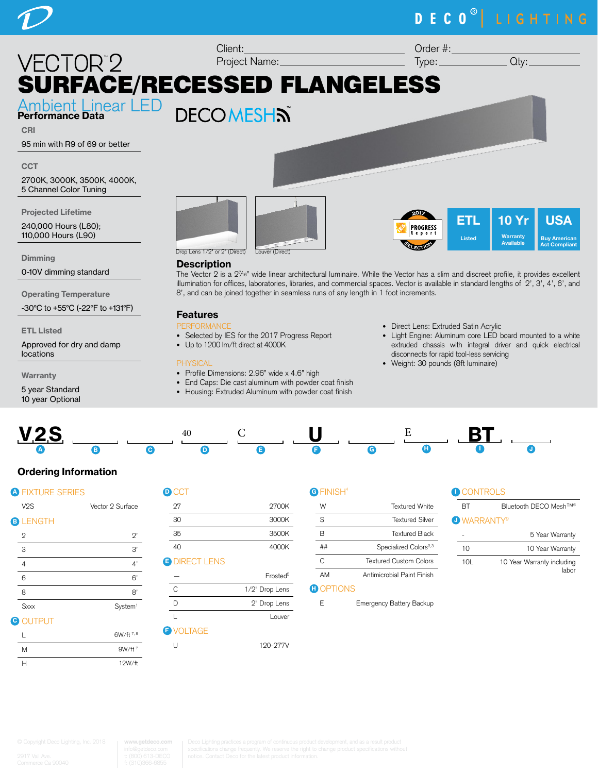# DECO<sup>®</sup> LIGHTING



8', and can be joined together in seamless runs of any length in 1 foot increments.

0-10V dimming standard

Operating Temperature

-30°C to +55°C (-22°F to +131°F)

ETL Listed

Approved for dry and damp locations

**Warranty** 

5 year Standard 10 year Optional



**Description** The Vector 2 is a 27 /16" wide linear architectural luminaire. While the Vector has a slim and discreet profile, it provides excellent illumination for offices, laboratories, libraries, and commercial spaces. Vector is available in standard lengths of 2', 3', 4', 6', and

## Features

## **PERMANE**

- Selected by IES for the 2017 Progress Report
- Up to 1200 lm/ft direct at 4000K

### **PHYSICAL**

- Profile Dimensions: 2.96" wide x 4.6" high
- End Caps: Die cast aluminum with powder coat finish
- Housing: Extruded Aluminum with powder coat finish
- Direct Lens: Extruded Satin Acrylic
- Light Engine: Aluminum core LED board mounted to a white extruded chassis with integral driver and quick electrical disconnects for rapid tool-less servicing
- Weight: 30 pounds (8ft luminaire)



## Ordering Information

|    | <b>A FIXTURE SERIES</b> |                     |  |
|----|-------------------------|---------------------|--|
|    | V <sub>2</sub> S        | Vector 2 Surface    |  |
|    | <b>B LENGTH</b>         |                     |  |
|    | $\overline{2}$          | 2'                  |  |
|    | 3                       | 3'                  |  |
|    | $\overline{4}$          | 4'                  |  |
|    | 6                       | 6'                  |  |
|    | 8                       | 8'                  |  |
|    | <b>Sxxx</b>             | System <sup>1</sup> |  |
| C) | <b>OUTPUT</b>           |                     |  |
|    |                         | 6W/ft 7.8           |  |

| <b>D</b> CCT         |                      |
|----------------------|----------------------|
| 27                   | 2700K                |
| 30                   | 3000K                |
| 35                   | 3500K                |
| 40                   | 4000K                |
| <b>O DIRECT LENS</b> |                      |
|                      | Frosted <sup>5</sup> |
| C                    | 1/2" Drop Lens       |
|                      | 2" Drop Lens         |

L<br>Louver

U 120-277V

**F** VOLTAGE

## G FINISH<sup>4</sup>

| W  | Textured White                                                     |  |
|----|--------------------------------------------------------------------|--|
| S  | Textured Silver                                                    |  |
| R  | Textured Black                                                     |  |
|    | Specialized Colors <sup>2,3</sup><br><b>Textured Custom Colors</b> |  |
| C  |                                                                    |  |
| AM | Antimicrobial Paint Finish                                         |  |

## **D** OPTIONS

E Emergency Battery Backup

|  | $\blacksquare$ CONTR( |  |
|--|-----------------------|--|
|  |                       |  |

| RТ                             | Bluetooth DECO Mesh <sup>TM6</sup> |  |  |
|--------------------------------|------------------------------------|--|--|
| <b>U</b> WARRANTY <sup>9</sup> |                                    |  |  |
|                                | 5 Year Warranty                    |  |  |
| 10                             | 10 Year Warranty                   |  |  |
| 10L                            | 10 Year Warranty including         |  |  |

|   | 6W/ft $^{7,8}$     |
|---|--------------------|
| M | 9W/ft <sup>7</sup> |
| н | 12W/ft             |

**www.getdeco.com**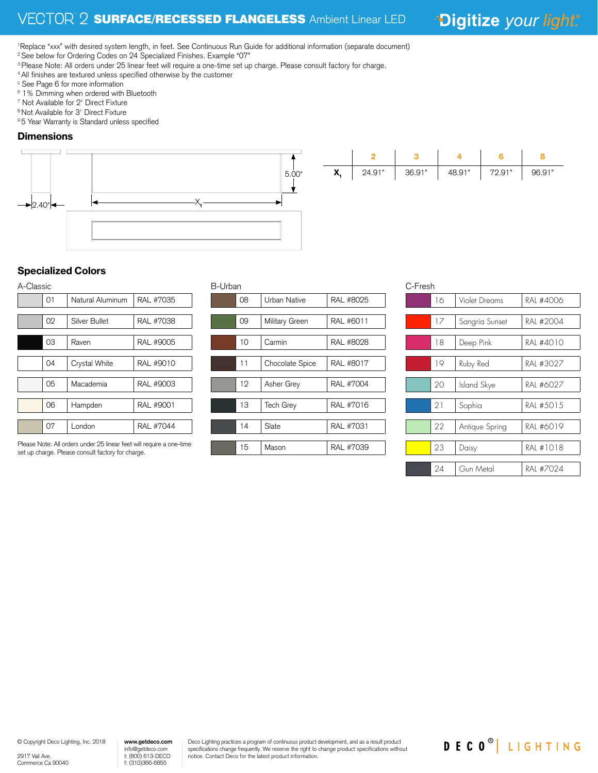## <sup>8</sup> 2 **SURFACE/RECESSED FLANGELESS** Ambient Linear LED

\*Digitize your light.®

1 Replace "xxx" with desired system length, in feet. See Continuous Run Guide for additional information (separate document) <sup>2</sup> See below for Ordering Codes on 24 Specialized Finishes. Example "07"

<sup>3</sup> Please Note: All orders under 25 linear feet will require a one-time set up charge. Please consult factory for charge.

<sup>4</sup> All finishes are textured unless specified otherwise by the customer

- <sup>5</sup> See Page 6 for more information
- 6 1% Dimming when ordered with Bluetooth
- 7 Not Available for 2' Direct Fixture
- 8 Not Available for 3' Direct Fixture

<sup>9</sup> 5 Year Warranty is Standard unless specified

## **Dimensions**





## Specialized Colors

| A-Classic |    |                  |                  |  |  |
|-----------|----|------------------|------------------|--|--|
|           | 01 | Natural Aluminum | RAL #7035        |  |  |
|           |    |                  |                  |  |  |
|           | 02 | Silver Bullet    | RAL #7038        |  |  |
|           |    |                  |                  |  |  |
|           | 03 | Raven            | RAL #9005        |  |  |
|           |    |                  |                  |  |  |
|           | 04 | Crystal White    | RAL #9010        |  |  |
|           |    |                  |                  |  |  |
|           | 05 | Macademia        | RAL #9003        |  |  |
|           |    |                  |                  |  |  |
|           | 06 | Hampden          | RAL #9001        |  |  |
|           |    |                  |                  |  |  |
|           | 07 | London           | <b>RAL #7044</b> |  |  |

Please Note: All orders under 25 linear feet will require a one-time set up charge. Please consult factory for charge.

| <b>B-Urban</b> |    |                  |           |  |
|----------------|----|------------------|-----------|--|
|                | 08 | Urban Native     | RAL #8025 |  |
|                |    |                  |           |  |
|                | 09 | Military Green   | RAL #6011 |  |
|                |    |                  |           |  |
|                | 10 | Carmin           | RAL #8028 |  |
|                |    |                  |           |  |
|                | 11 | Chocolate Spice  | RAL #8017 |  |
|                |    |                  |           |  |
|                | 12 | Asher Grey       | RAL #7004 |  |
|                |    |                  |           |  |
|                | 13 | <b>Tech Grey</b> | RAL #7016 |  |
|                |    |                  |           |  |
|                | 14 | Slate            | RAL #7031 |  |
|                |    |                  |           |  |
|                | 15 | Mason            | RAL #7039 |  |
|                |    |                  |           |  |

| C-Fresh |    |                |           |  |
|---------|----|----------------|-----------|--|
| 16      |    | Violet Dreams  | RAL #4006 |  |
|         |    |                |           |  |
|         | 17 | Sangria Sunset | RAI #2004 |  |
|         |    |                |           |  |
|         | 18 | Deep Pink      | RAI #4010 |  |
|         |    |                |           |  |
|         | 19 | Ruby Red       | RAI #3027 |  |
|         |    |                |           |  |
|         | 20 | Island Skye    | RAI #6027 |  |
|         |    |                |           |  |
|         | 21 | Sophia         | RAL #5015 |  |
|         |    |                |           |  |
|         | 22 | Antique Spring | RAI #6019 |  |
|         |    |                |           |  |
|         | 23 | Daisy          | RAL #1018 |  |
|         |    |                |           |  |
|         | 24 | Gun Metal      | RAI #7024 |  |
|         |    |                |           |  |

DECO<sup>®</sup> LIGHTING

© Copyright Deco Lighting, Inc. 2018